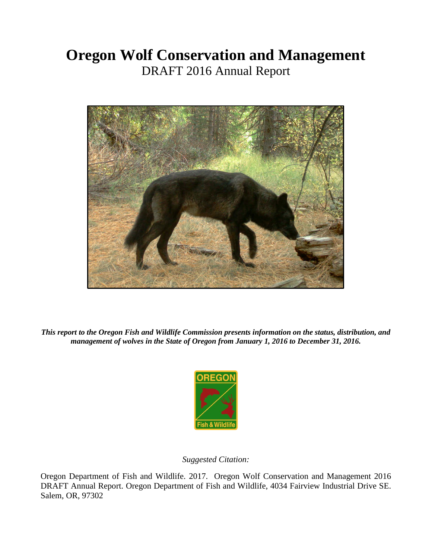# **Oregon Wolf Conservation and Management** DRAFT 2016 Annual Report



*This report to the Oregon Fish and Wildlife Commission presents information on the status, distribution, and management of wolves in the State of Oregon from January 1, 2016 to December 31, 2016.* 



## *Suggested Citation:*

Oregon Department of Fish and Wildlife. 2017. Oregon Wolf Conservation and Management 2016 DRAFT Annual Report. Oregon Department of Fish and Wildlife, 4034 Fairview Industrial Drive SE. Salem, OR, 97302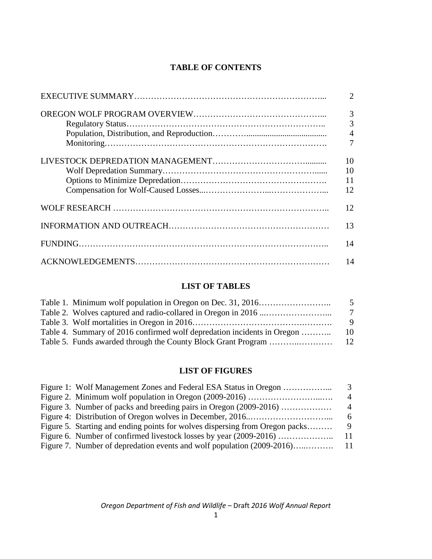# **TABLE OF CONTENTS**

| $\overline{2}$ |
|----------------|
| 3              |
| 3              |
|                |
| $\overline{7}$ |
| 10             |
| 10             |
| 11             |
| 12             |
| 12             |
| 13             |
| 14             |
| 14             |

## **LIST OF TABLES**

|                                                                         | -5  |
|-------------------------------------------------------------------------|-----|
|                                                                         | - 7 |
|                                                                         | -9  |
| Table 4. Summary of 2016 confirmed wolf depredation incidents in Oregon | 10  |
|                                                                         |     |

# **LIST OF FIGURES**

|                                                                              | 4    |
|------------------------------------------------------------------------------|------|
| Figure 3. Number of packs and breeding pairs in Oregon (2009-2016)           | 4    |
|                                                                              | 6.   |
| Figure 5. Starting and ending points for wolves dispersing from Oregon packs |      |
| Figure 6. Number of confirmed livestock losses by year (2009-2016)           | - 11 |
|                                                                              |      |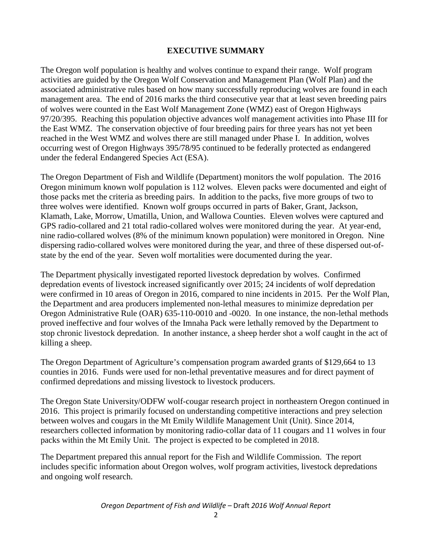## **EXECUTIVE SUMMARY**

The Oregon wolf population is healthy and wolves continue to expand their range. Wolf program activities are guided by the Oregon Wolf Conservation and Management Plan (Wolf Plan) and the associated administrative rules based on how many successfully reproducing wolves are found in each management area. The end of 2016 marks the third consecutive year that at least seven breeding pairs of wolves were counted in the East Wolf Management Zone (WMZ) east of Oregon Highways 97/20/395. Reaching this population objective advances wolf management activities into Phase III for the East WMZ. The conservation objective of four breeding pairs for three years has not yet been reached in the West WMZ and wolves there are still managed under Phase I. In addition, wolves occurring west of Oregon Highways 395/78/95 continued to be federally protected as endangered under the federal Endangered Species Act (ESA).

The Oregon Department of Fish and Wildlife (Department) monitors the wolf population. The 2016 Oregon minimum known wolf population is 112 wolves. Eleven packs were documented and eight of those packs met the criteria as breeding pairs. In addition to the packs, five more groups of two to three wolves were identified. Known wolf groups occurred in parts of Baker, Grant, Jackson, Klamath, Lake, Morrow, Umatilla, Union, and Wallowa Counties. Eleven wolves were captured and GPS radio-collared and 21 total radio-collared wolves were monitored during the year. At year-end, nine radio-collared wolves (8% of the minimum known population) were monitored in Oregon. Nine dispersing radio-collared wolves were monitored during the year, and three of these dispersed out-ofstate by the end of the year. Seven wolf mortalities were documented during the year.

The Department physically investigated reported livestock depredation by wolves. Confirmed depredation events of livestock increased significantly over 2015; 24 incidents of wolf depredation were confirmed in 10 areas of Oregon in 2016, compared to nine incidents in 2015. Per the Wolf Plan, the Department and area producers implemented non-lethal measures to minimize depredation per Oregon Administrative Rule (OAR) 635-110-0010 and -0020. In one instance, the non-lethal methods proved ineffective and four wolves of the Imnaha Pack were lethally removed by the Department to stop chronic livestock depredation. In another instance, a sheep herder shot a wolf caught in the act of killing a sheep.

The Oregon Department of Agriculture's compensation program awarded grants of \$129,664 to 13 counties in 2016. Funds were used for non-lethal preventative measures and for direct payment of confirmed depredations and missing livestock to livestock producers.

The Oregon State University/ODFW wolf-cougar research project in northeastern Oregon continued in 2016. This project is primarily focused on understanding competitive interactions and prey selection between wolves and cougars in the Mt Emily Wildlife Management Unit (Unit). Since 2014, researchers collected information by monitoring radio-collar data of 11 cougars and 11 wolves in four packs within the Mt Emily Unit. The project is expected to be completed in 2018.

The Department prepared this annual report for the Fish and Wildlife Commission. The report includes specific information about Oregon wolves, wolf program activities, livestock depredations and ongoing wolf research.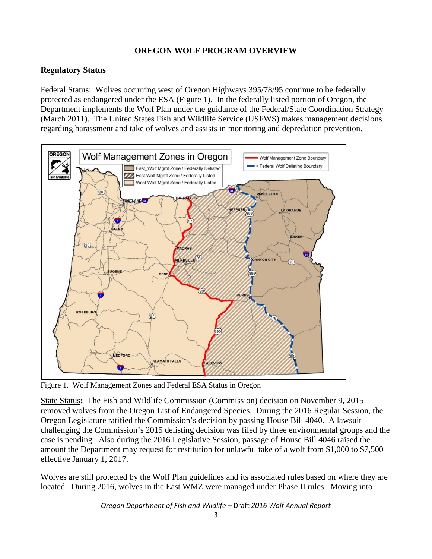## **OREGON WOLF PROGRAM OVERVIEW**

## **Regulatory Status**

Federal Status:Wolves occurring west of Oregon Highways 395/78/95 continue to be federally protected as endangered under the ESA (Figure 1). In the federally listed portion of Oregon, the Department implements the Wolf Plan under the guidance of the Federal/State Coordination Strategy (March 2011). The United States Fish and Wildlife Service (USFWS) makes management decisions regarding harassment and take of wolves and assists in monitoring and depredation prevention.



Figure 1. Wolf Management Zones and Federal ESA Status in Oregon

State Status**:** The Fish and Wildlife Commission (Commission) decision on November 9, 2015 removed wolves from the Oregon List of Endangered Species. During the 2016 Regular Session, the Oregon Legislature ratified the Commission's decision by passing House Bill 4040. A lawsuit challenging the Commission's 2015 delisting decision was filed by three environmental groups and the case is pending. Also during the 2016 Legislative Session, passage of House Bill 4046 raised the amount the Department may request for restitution for unlawful take of a wolf from \$1,000 to \$7,500 effective January 1, 2017.

Wolves are still protected by the Wolf Plan guidelines and its associated rules based on where they are located. During 2016, wolves in the East WMZ were managed under Phase II rules. Moving into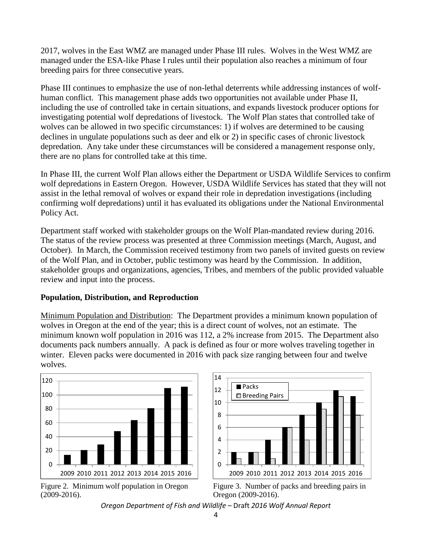2017, wolves in the East WMZ are managed under Phase III rules. Wolves in the West WMZ are managed under the ESA-like Phase I rules until their population also reaches a minimum of four breeding pairs for three consecutive years.

Phase III continues to emphasize the use of non-lethal deterrents while addressing instances of wolfhuman conflict. This management phase adds two opportunities not available under Phase II, including the use of controlled take in certain situations, and expands livestock producer options for investigating potential wolf depredations of livestock. The Wolf Plan states that controlled take of wolves can be allowed in two specific circumstances: 1) if wolves are determined to be causing declines in ungulate populations such as deer and elk or 2) in specific cases of chronic livestock depredation. Any take under these circumstances will be considered a management response only, there are no plans for controlled take at this time.

In Phase III, the current Wolf Plan allows either the Department or USDA Wildlife Services to confirm wolf depredations in Eastern Oregon. However, USDA Wildlife Services has stated that they will not assist in the lethal removal of wolves or expand their role in depredation investigations (including confirming wolf depredations) until it has evaluated its obligations under the National Environmental Policy Act.

Department staff worked with stakeholder groups on the Wolf Plan-mandated review during 2016. The status of the review process was presented at three Commission meetings (March, August, and October). In March, the Commission received testimony from two panels of invited guests on review of the Wolf Plan, and in October, public testimony was heard by the Commission. In addition, stakeholder groups and organizations, agencies, Tribes, and members of the public provided valuable review and input into the process.

## **Population, Distribution, and Reproduction**

Minimum Population and Distribution: The Department provides a minimum known population of wolves in Oregon at the end of the year; this is a direct count of wolves, not an estimate. The minimum known wolf population in 2016 was 112, a 2% increase from 2015. The Department also documents pack numbers annually. A pack is defined as four or more wolves traveling together in winter. Eleven packs were documented in 2016 with pack size ranging between four and twelve wolves.







Figure 2. Minimum wolf population in Oregon Figure 3. Number of packs and breeding pairs in

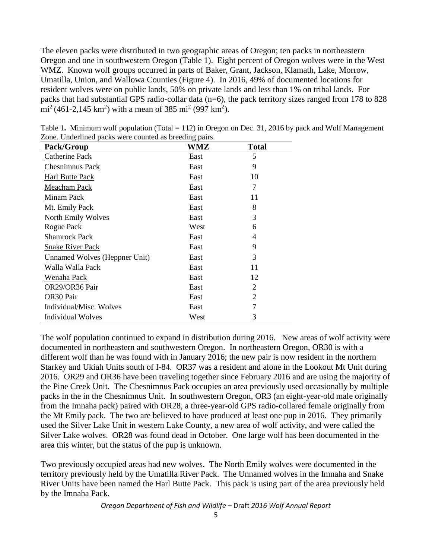The eleven packs were distributed in two geographic areas of Oregon; ten packs in northeastern Oregon and one in southwestern Oregon (Table 1). Eight percent of Oregon wolves were in the West WMZ. Known wolf groups occurred in parts of Baker, Grant, Jackson, Klamath, Lake, Morrow, Umatilla, Union, and Wallowa Counties (Figure 4). In 2016, 49% of documented locations for resident wolves were on public lands, 50% on private lands and less than 1% on tribal lands. For packs that had substantial GPS radio-collar data (n=6), the pack territory sizes ranged from 178 to 828 mi<sup>2</sup> (461-2,145 km<sup>2</sup>) with a mean of 385 mi<sup>2</sup> (997 km<sup>2</sup>).

| Pack/Group                    | WMZ  | <b>Total</b> |
|-------------------------------|------|--------------|
| <b>Catherine Pack</b>         | East | 5            |
| Chesnimnus Pack               | East | 9            |
| Harl Butte Pack               | East | 10           |
| Meacham Pack                  | East | 7            |
| Minam Pack                    | East | 11           |
| Mt. Emily Pack                | East | 8            |
| North Emily Wolves            | East | 3            |
| Rogue Pack                    | West | 6            |
| <b>Shamrock Pack</b>          | East | 4            |
| <b>Snake River Pack</b>       | East | 9            |
| Unnamed Wolves (Heppner Unit) | East | 3            |
| Walla Walla Pack              | East | 11           |
| Wenaha Pack                   | East | 12           |
| OR29/OR36 Pair                | East | 2            |
| OR30 Pair                     | East | 2            |
| Individual/Misc. Wolves       | East | 7            |
| Individual Wolves             | West | 3            |

Table 1**.** Minimum wolf population (Total = 112) in Oregon on Dec. 31, 2016 by pack and Wolf Management Zone. Underlined packs were counted as breeding pairs.

The wolf population continued to expand in distribution during 2016. New areas of wolf activity were documented in northeastern and southwestern Oregon. In northeastern Oregon, OR30 is with a different wolf than he was found with in January 2016; the new pair is now resident in the northern Starkey and Ukiah Units south of I-84. OR37 was a resident and alone in the Lookout Mt Unit during 2016. OR29 and OR36 have been traveling together since February 2016 and are using the majority of the Pine Creek Unit. The Chesnimnus Pack occupies an area previously used occasionally by multiple packs in the in the Chesnimnus Unit. In southwestern Oregon, OR3 (an eight-year-old male originally from the Imnaha pack) paired with OR28, a three-year-old GPS radio-collared female originally from the Mt Emily pack. The two are believed to have produced at least one pup in 2016. They primarily used the Silver Lake Unit in western Lake County, a new area of wolf activity, and were called the Silver Lake wolves. OR28 was found dead in October. One large wolf has been documented in the area this winter, but the status of the pup is unknown.

Two previously occupied areas had new wolves. The North Emily wolves were documented in the territory previously held by the Umatilla River Pack. The Unnamed wolves in the Imnaha and Snake River Units have been named the Harl Butte Pack. This pack is using part of the area previously held by the Imnaha Pack.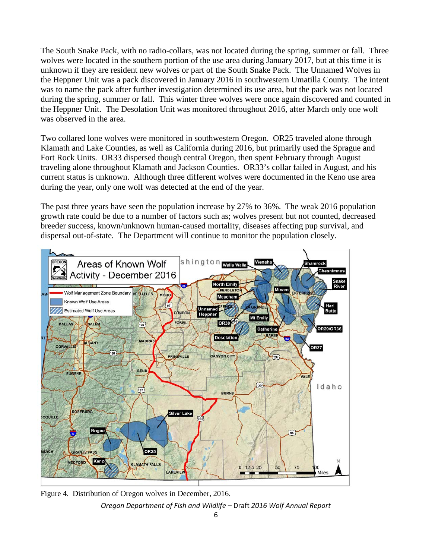The South Snake Pack, with no radio-collars, was not located during the spring, summer or fall. Three wolves were located in the southern portion of the use area during January 2017, but at this time it is unknown if they are resident new wolves or part of the South Snake Pack. The Unnamed Wolves in the Heppner Unit was a pack discovered in January 2016 in southwestern Umatilla County. The intent was to name the pack after further investigation determined its use area, but the pack was not located during the spring, summer or fall. This winter three wolves were once again discovered and counted in the Heppner Unit. The Desolation Unit was monitored throughout 2016, after March only one wolf was observed in the area.

Two collared lone wolves were monitored in southwestern Oregon. OR25 traveled alone through Klamath and Lake Counties, as well as California during 2016, but primarily used the Sprague and Fort Rock Units. OR33 dispersed though central Oregon, then spent February through August traveling alone throughout Klamath and Jackson Counties. OR33's collar failed in August, and his current status is unknown. Although three different wolves were documented in the Keno use area during the year, only one wolf was detected at the end of the year.

The past three years have seen the population increase by 27% to 36%. The weak 2016 population growth rate could be due to a number of factors such as; wolves present but not counted, decreased breeder success, known/unknown human-caused mortality, diseases affecting pup survival, and dispersal out-of-state. The Department will continue to monitor the population closely.



*Oregon Department of Fish and Wildlife –* Draft *2016 Wolf Annual Report* Figure 4. Distribution of Oregon wolves in December, 2016.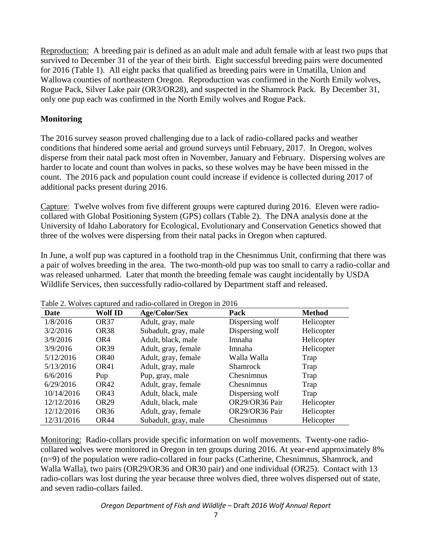Reproduction:A breeding pair is defined as an adult male and adult female with at least two pups that survived to December 31 of the year of their birth. Eight successful breeding pairs were documented for 2016 (Table 1). All eight packs that qualified as breeding pairs were in Umatilla, Union and Wallowa counties of northeastern Oregon. Reproduction was confirmed in the North Emily wolves, Rogue Pack, Silver Lake pair (OR3/OR28), and suspected in the Shamrock Pack. By December 31, only one pup each was confirmed in the North Emily wolves and Rogue Pack.

## **Monitoring**

The 2016 survey season proved challenging due to a lack of radio-collared packs and weather conditions that hindered some aerial and ground surveys until February, 2017. In Oregon, wolves disperse from their natal pack most often in November, January and February. Dispersing wolves are harder to locate and count than wolves in packs, so these wolves may be have been missed in the count. The 2016 pack and population count could increase if evidence is collected during 2017 of additional packs present during 2016.

Capture: Twelve wolves from five different groups were captured during 2016. Eleven were radiocollared with Global Positioning System (GPS) collars (Table 2). The DNA analysis done at the University of Idaho Laboratory for Ecological, Evolutionary and Conservation Genetics showed that three of the wolves were dispersing from their natal packs in Oregon when captured.

In June, a wolf pup was captured in a foothold trap in the Chesnimnus Unit, confirming that there was a pair of wolves breeding in the area. The two-month-old pup was too small to carry a radio-collar and was released unharmed. Later that month the breeding female was caught incidentally by USDA Wildlife Services, then successfully radio-collared by Department staff and released.

| Date       | Wolf ID          | Age/Color/Sex        | Pack              | <b>Method</b> |
|------------|------------------|----------------------|-------------------|---------------|
| 1/8/2016   | OR <sub>37</sub> | Adult, gray, male    | Dispersing wolf   | Helicopter    |
| 3/2/2016   | OR38             | Subadult, gray, male | Dispersing wolf   | Helicopter    |
| 3/9/2016   | OR4              | Adult, black, male   | Imnaha            | Helicopter    |
| 3/9/2016   | OR <sub>39</sub> | Adult, gray, female  | Imnaha            | Helicopter    |
| 5/12/2016  | OR40             | Adult, gray, female  | Walla Walla       | Trap          |
| 5/13/2016  | OR41             | Adult, gray, male    | <b>Shamrock</b>   | Trap          |
| 6/6/2016   | Pup              | Pup, gray, male      | Chesnimnus        | Trap          |
| 6/29/2016  | OR42             | Adult, gray, female  | <b>Chesnimnus</b> | Trap          |
| 10/14/2016 | OR43             | Adult, black, male   | Dispersing wolf   | Trap          |
| 12/12/2016 | OR <sub>29</sub> | Adult, black, male   | OR29/OR36 Pair    | Helicopter    |
| 12/12/2016 | OR <sub>36</sub> | Adult, gray, female  | OR29/OR36 Pair    | Helicopter    |
| 12/31/2016 | OR44             | Subadult, gray, male | Chesnimnus        | Helicopter    |

Table 2. Wolves captured and radio-collared in Oregon in 2016

Monitoring: Radio-collars provide specific information on wolf movements. Twenty-one radiocollared wolves were monitored in Oregon in ten groups during 2016. At year-end approximately 8% (n=9) of the population were radio-collared in four packs (Catherine, Chesnimnus, Shamrock, and Walla Walla), two pairs (OR29/OR36 and OR30 pair) and one individual (OR25). Contact with 13 radio-collars was lost during the year because three wolves died, three wolves dispersed out of state, and seven radio-collars failed.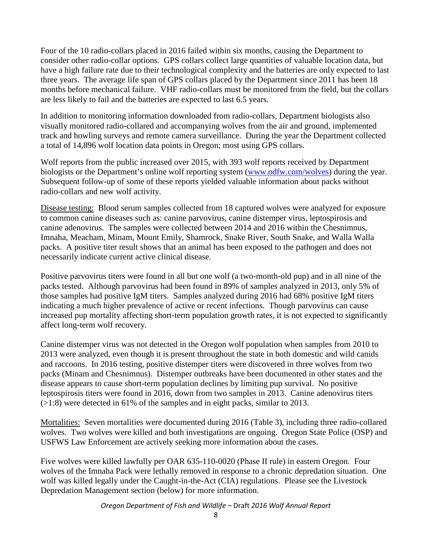Four of the 10 radio-collars placed in 2016 failed within six months, causing the Department to consider other radio-collar options. GPS collars collect large quantities of valuable location data, but have a high failure rate due to their technological complexity and the batteries are only expected to last three years. The average life span of GPS collars placed by the Department since 2011 has been 18 months before mechanical failure. VHF radio-collars must be monitored from the field, but the collars are less likely to fail and the batteries are expected to last 6.5 years.

In addition to monitoring information downloaded from radio-collars, Department biologists also visually monitored radio-collared and accompanying wolves from the air and ground, implemented track and howling surveys and remote camera surveillance. During the year the Department collected a total of 14,896 wolf location data points in Oregon; most using GPS collars.

Wolf reports from the public increased over 2015, with 393 wolf reports received by Department biologists or the Department's online wolf reporting system [\(www.odfw.com/wolves\)](http://www.odfw.com/wolves) during the year. Subsequent follow-up of some of these reports yielded valuable information about packs without radio-collars and new wolf activity.

Disease testing: Blood serum samples collected from 18 captured wolves were analyzed for exposure to common canine diseases such as: canine parvovirus, canine distemper virus, leptospirosis and canine adenovirus. The samples were collected between 2014 and 2016 within the Chesnimnus, Imnaha, Meacham, Minam, Mount Emily, Shamrock, Snake River, South Snake, and Walla Walla packs. A positive titer result shows that an animal has been exposed to the pathogen and does not necessarily indicate current active clinical disease.

Positive parvovirus titers were found in all but one wolf (a two-month-old pup) and in all nine of the packs tested. Although parvovirus had been found in 89% of samples analyzed in 2013, only 5% of those samples had positive IgM titers. Samples analyzed during 2016 had 68% positive IgM titers indicating a much higher prevalence of active or recent infections. Though parvovirus can cause increased pup mortality affecting short-term population growth rates, it is not expected to significantly affect long-term wolf recovery.

Canine distemper virus was not detected in the Oregon wolf population when samples from 2010 to 2013 were analyzed, even though it is present throughout the state in both domestic and wild canids and raccoons. In 2016 testing, positive distemper titers were discovered in three wolves from two packs (Minam and Chesnimnus). Distemper outbreaks have been documented in other states and the disease appears to cause short-term population declines by limiting pup survival. No positive leptospirosis titers were found in 2016, down from two samples in 2013. Canine adenovirus titers (>1:8) were detected in 61% of the samples and in eight packs, similar to 2013.

Mortalities: Seven mortalities were documented during 2016 (Table 3), including three radio-collared wolves. Two wolves were killed and both investigations are ongoing. Oregon State Police (OSP) and USFWS Law Enforcement are actively seeking more information about the cases.

Five wolves were killed lawfully per OAR 635-110-0020 (Phase II rule) in eastern Oregon. Four wolves of the Imnaha Pack were lethally removed in response to a chronic depredation situation. One wolf was killed legally under the Caught-in-the-Act (CIA) regulations. Please see the Livestock Depredation Management section (below) for more information.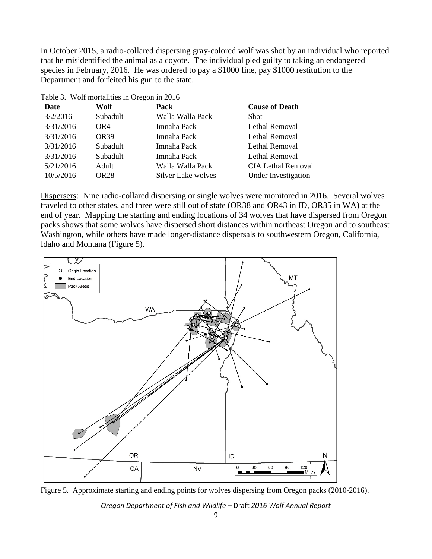In October 2015, a radio-collared dispersing gray-colored wolf was shot by an individual who reported that he misidentified the animal as a coyote. The individual pled guilty to taking an endangered species in February, 2016. He was ordered to pay a \$1000 fine, pay \$1000 restitution to the Department and forfeited his gun to the state.

| Table 3. Wolf mortalities in Oregon in 2016 |                  |                    |                           |  |
|---------------------------------------------|------------------|--------------------|---------------------------|--|
| Date                                        | Wolf             | Pack               | <b>Cause of Death</b>     |  |
| 3/2/2016                                    | Subadult         | Walla Walla Pack   | <b>Shot</b>               |  |
| 3/31/2016                                   | OR4              | Imnaha Pack        | Lethal Removal            |  |
| 3/31/2016                                   | <b>OR39</b>      | Imnaha Pack        | Lethal Removal            |  |
| 3/31/2016                                   | Subadult         | Imnaha Pack        | Lethal Removal            |  |
| 3/31/2016                                   | Subadult         | Imnaha Pack        | Lethal Removal            |  |
| 5/21/2016                                   | Adult            | Walla Walla Pack   | <b>CIA Lethal Removal</b> |  |
| 10/5/2016                                   | OR <sub>28</sub> | Silver Lake wolves | Under Investigation       |  |

Dispersers: Nine radio-collared dispersing or single wolves were monitored in 2016. Several wolves traveled to other states, and three were still out of state (OR38 and OR43 in ID, OR35 in WA) at the end of year. Mapping the starting and ending locations of 34 wolves that have dispersed from Oregon packs shows that some wolves have dispersed short distances within northeast Oregon and to southeast Washington, while others have made longer-distance dispersals to southwestern Oregon, California, Idaho and Montana (Figure 5).



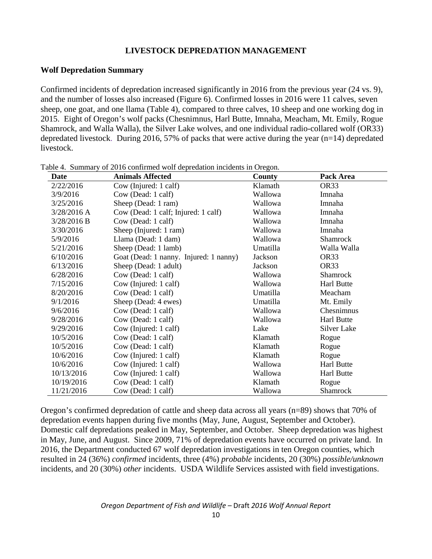#### **LIVESTOCK DEPREDATION MANAGEMENT**

#### **Wolf Depredation Summary**

Confirmed incidents of depredation increased significantly in 2016 from the previous year (24 vs. 9), and the number of losses also increased (Figure 6). Confirmed losses in 2016 were 11 calves, seven sheep, one goat, and one llama (Table 4), compared to three calves, 10 sheep and one working dog in 2015. Eight of Oregon's wolf packs (Chesnimnus, Harl Butte, Imnaha, Meacham, Mt. Emily, Rogue Shamrock, and Walla Walla), the Silver Lake wolves, and one individual radio-collared wolf (OR33) depredated livestock. During 2016, 57% of packs that were active during the year  $(n=14)$  depredated livestock.

| Date          | <b>Animals Affected</b>                | <b>County</b> | Pack Area         |
|---------------|----------------------------------------|---------------|-------------------|
| 2/22/2016     | Cow (Injured: 1 calf)                  | Klamath       | OR33              |
| 3/9/2016      | Cow (Dead: 1 calf)                     | Wallowa       | Imnaha            |
| 3/25/2016     | Sheep (Dead: 1 ram)                    | Wallowa       | Imnaha            |
| $3/28/2016$ A | Cow (Dead: 1 calf; Injured: 1 calf)    | Wallowa       | Imnaha            |
| 3/28/2016 B   | Cow (Dead: 1 calf)                     | Wallowa       | Imnaha            |
| 3/30/2016     | Sheep (Injured: 1 ram)                 | Wallowa       | Imnaha            |
| 5/9/2016      | Llama (Dead: 1 dam)                    | Wallowa       | Shamrock          |
| 5/21/2016     | Sheep (Dead: 1 lamb)                   | Umatilla      | Walla Walla       |
| 6/10/2016     | Goat (Dead: 1 nanny. Injured: 1 nanny) | Jackson       | OR33              |
| 6/13/2016     | Sheep (Dead: 1 adult)                  | Jackson       | OR33              |
| 6/28/2016     | Cow (Dead: 1 calf)                     | Wallowa       | Shamrock          |
| 7/15/2016     | Cow (Injured: 1 calf)                  | Wallowa       | Harl Butte        |
| 8/20/2016     | Cow (Dead: 1 calf)                     | Umatilla      | Meacham           |
| 9/1/2016      | Sheep (Dead: 4 ewes)                   | Umatilla      | Mt. Emily         |
| 9/6/2016      | Cow (Dead: 1 calf)                     | Wallowa       | Chesnimnus        |
| 9/28/2016     | Cow (Dead: 1 calf)                     | Wallowa       | <b>Harl Butte</b> |
| 9/29/2016     | Cow (Injured: 1 calf)                  | Lake          | Silver Lake       |
| 10/5/2016     | Cow (Dead: 1 calf)                     | Klamath       | Rogue             |
| 10/5/2016     | Cow (Dead: 1 calf)                     | Klamath       | Rogue             |
| 10/6/2016     | Cow (Injured: 1 calf)                  | Klamath       | Rogue             |
| 10/6/2016     | Cow (Injured: 1 calf)                  | Wallowa       | <b>Harl Butte</b> |
| 10/13/2016    | Cow (Injured: 1 calf)                  | Wallowa       | Harl Butte        |
| 10/19/2016    | Cow (Dead: 1 calf)                     | Klamath       | Rogue             |
| 11/21/2016    | Cow (Dead: 1 calf)                     | Wallowa       | Shamrock          |

Table 4. Summary of 2016 confirmed wolf depredation incidents in Oregon.

Oregon's confirmed depredation of cattle and sheep data across all years (n=89) shows that 70% of depredation events happen during five months (May, June, August, September and October). Domestic calf depredations peaked in May, September, and October. Sheep depredation was highest in May, June, and August. Since 2009, 71% of depredation events have occurred on private land. In 2016, the Department conducted 67 wolf depredation investigations in ten Oregon counties, which resulted in 24 (36%) *confirmed* incidents, three (4%) *probable* incidents, 20 (30%) *possible/unknown* incidents, and 20 (30%) *other* incidents. USDA Wildlife Services assisted with field investigations.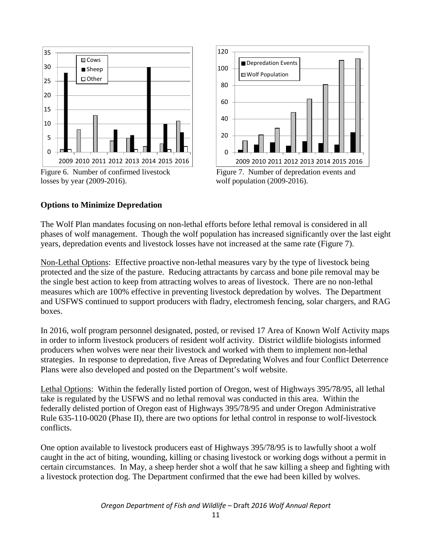



#### **Options to Minimize Depredation**

The Wolf Plan mandates focusing on non-lethal efforts before lethal removal is considered in all phases of wolf management. Though the wolf population has increased significantly over the last eight years, depredation events and livestock losses have not increased at the same rate (Figure 7).

Non-Lethal Options: Effective proactive non-lethal measures vary by the type of livestock being protected and the size of the pasture. Reducing attractants by carcass and bone pile removal may be the single best action to keep from attracting wolves to areas of livestock. There are no non-lethal measures which are 100% effective in preventing livestock depredation by wolves. The Department and USFWS continued to support producers with fladry, electromesh fencing, solar chargers, and RAG boxes.

In 2016, wolf program personnel designated, posted, or revised 17 Area of Known Wolf Activity maps in order to inform livestock producers of resident wolf activity. District wildlife biologists informed producers when wolves were near their livestock and worked with them to implement non-lethal strategies. In response to depredation, five Areas of Depredating Wolves and four Conflict Deterrence Plans were also developed and posted on the Department's wolf website.

Lethal Options: Within the federally listed portion of Oregon, west of Highways 395/78/95, all lethal take is regulated by the USFWS and no lethal removal was conducted in this area. Within the federally delisted portion of Oregon east of Highways 395/78/95 and under Oregon Administrative Rule 635-110-0020 (Phase II), there are two options for lethal control in response to wolf-livestock conflicts.

One option available to livestock producers east of Highways 395/78/95 is to lawfully shoot a wolf caught in the act of biting, wounding, killing or chasing livestock or working dogs without a permit in certain circumstances. In May, a sheep herder shot a wolf that he saw killing a sheep and fighting with a livestock protection dog. The Department confirmed that the ewe had been killed by wolves.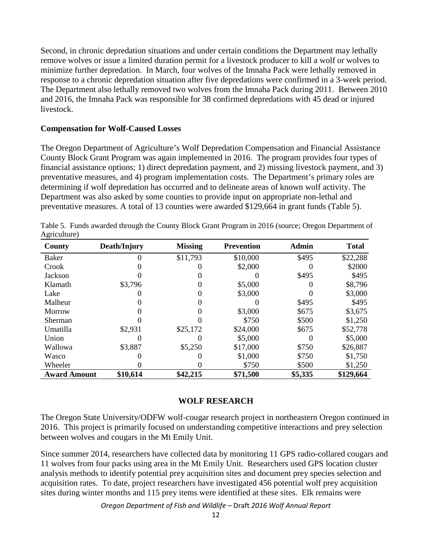Second, in chronic depredation situations and under certain conditions the Department may lethally remove wolves or issue a limited duration permit for a livestock producer to kill a wolf or wolves to minimize further depredation. In March, four wolves of the Imnaha Pack were lethally removed in response to a chronic depredation situation after five depredations were confirmed in a 3-week period. The Department also lethally removed two wolves from the Imnaha Pack during 2011. Between 2010 and 2016, the Imnaha Pack was responsible for 38 confirmed depredations with 45 dead or injured livestock.

#### **Compensation for Wolf-Caused Losses**

The Oregon Department of Agriculture's Wolf Depredation Compensation and Financial Assistance County Block Grant Program was again implemented in 2016. The program provides four types of financial assistance options; 1) direct depredation payment, and 2) missing livestock payment, and 3) preventative measures, and 4) program implementation costs. The Department's primary roles are determining if wolf depredation has occurred and to delineate areas of known wolf activity. The Department was also asked by some counties to provide input on appropriate non-lethal and preventative measures. A total of 13 counties were awarded \$129,664 in grant funds (Table 5).

| County              | Death/Injury | <b>Missing</b> | <b>Prevention</b> | <b>Admin</b> | <b>Total</b> |
|---------------------|--------------|----------------|-------------------|--------------|--------------|
| Baker               |              | \$11,793       | \$10,000          | \$495        | \$22,288     |
| Crook               |              |                | \$2,000           |              | \$2000       |
| Jackson             |              |                |                   | \$495        | \$495        |
| Klamath             | \$3,796      |                | \$5,000           |              | \$8,796      |
| Lake                |              |                | \$3,000           |              | \$3,000      |
| Malheur             |              |                |                   | \$495        | \$495        |
| Morrow              |              |                | \$3,000           | \$675        | \$3,675      |
| Sherman             |              |                | \$750             | \$500        | \$1,250      |
| Umatilla            | \$2,931      | \$25,172       | \$24,000          | \$675        | \$52,778     |
| Union               |              |                | \$5,000           |              | \$5,000      |
| Wallowa             | \$3,887      | \$5,250        | \$17,000          | \$750        | \$26,887     |
| Wasco               |              |                | \$1,000           | \$750        | \$1,750      |
| Wheeler             |              |                | \$750             | \$500        | \$1,250      |
| <b>Award Amount</b> | \$10,614     | \$42,215       | \$71,500          | \$5,335      | \$129,664    |

Table 5. Funds awarded through the County Block Grant Program in 2016 (source; Oregon Department of Agriculture)

#### **WOLF RESEARCH**

The Oregon State University/ODFW wolf-cougar research project in northeastern Oregon continued in 2016. This project is primarily focused on understanding competitive interactions and prey selection between wolves and cougars in the Mt Emily Unit.

Since summer 2014, researchers have collected data by monitoring 11 GPS radio-collared cougars and 11 wolves from four packs using area in the Mt Emily Unit. Researchers used GPS location cluster analysis methods to identify potential prey acquisition sites and document prey species selection and acquisition rates. To date, project researchers have investigated 456 potential wolf prey acquisition sites during winter months and 115 prey items were identified at these sites. Elk remains were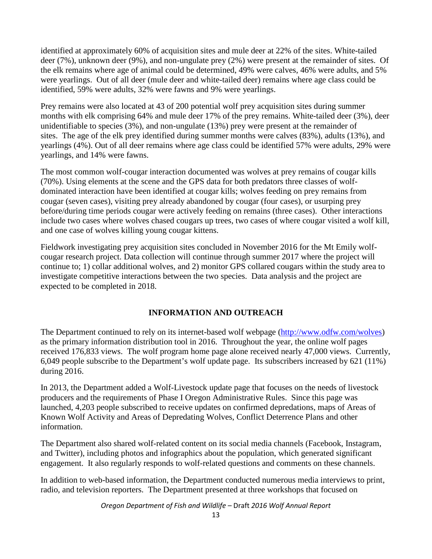identified at approximately 60% of acquisition sites and mule deer at 22% of the sites. White-tailed deer (7%), unknown deer (9%), and non-ungulate prey (2%) were present at the remainder of sites. Of the elk remains where age of animal could be determined, 49% were calves, 46% were adults, and 5% were yearlings. Out of all deer (mule deer and white-tailed deer) remains where age class could be identified, 59% were adults, 32% were fawns and 9% were yearlings.

Prey remains were also located at 43 of 200 potential wolf prey acquisition sites during summer months with elk comprising 64% and mule deer 17% of the prey remains. White-tailed deer (3%), deer unidentifiable to species (3%), and non-ungulate (13%) prey were present at the remainder of sites. The age of the elk prey identified during summer months were calves (83%), adults (13%), and yearlings (4%). Out of all deer remains where age class could be identified 57% were adults, 29% were yearlings, and 14% were fawns.

The most common wolf-cougar interaction documented was wolves at prey remains of cougar kills (70%). Using elements at the scene and the GPS data for both predators three classes of wolfdominated interaction have been identified at cougar kills; wolves feeding on prey remains from cougar (seven cases), visiting prey already abandoned by cougar (four cases), or usurping prey before/during time periods cougar were actively feeding on remains (three cases). Other interactions include two cases where wolves chased cougars up trees, two cases of where cougar visited a wolf kill, and one case of wolves killing young cougar kittens.

Fieldwork investigating prey acquisition sites concluded in November 2016 for the Mt Emily wolfcougar research project. Data collection will continue through summer 2017 where the project will continue to; 1) collar additional wolves, and 2) monitor GPS collared cougars within the study area to investigate competitive interactions between the two species. Data analysis and the project are expected to be completed in 2018.

## **INFORMATION AND OUTREACH**

The Department continued to rely on its internet-based wolf webpage [\(http://www.odfw.com/wolves\)](http://www.odfw.com/wolves) as the primary information distribution tool in 2016. Throughout the year, the online wolf pages received 176,833 views. The wolf program home page alone received nearly 47,000 views. Currently, 6,049 people subscribe to the Department's wolf update page. Its subscribers increased by 621 (11%) during 2016.

In 2013, the Department added a Wolf-Livestock update page that focuses on the needs of livestock producers and the requirements of Phase I Oregon Administrative Rules. Since this page was launched, 4,203 people subscribed to receive updates on confirmed depredations, maps of Areas of Known Wolf Activity and Areas of Depredating Wolves, Conflict Deterrence Plans and other information.

The Department also shared wolf-related content on its social media channels (Facebook, Instagram, and Twitter), including photos and infographics about the population, which generated significant engagement. It also regularly responds to wolf-related questions and comments on these channels.

In addition to web-based information, the Department conducted numerous media interviews to print, radio, and television reporters. The Department presented at three workshops that focused on